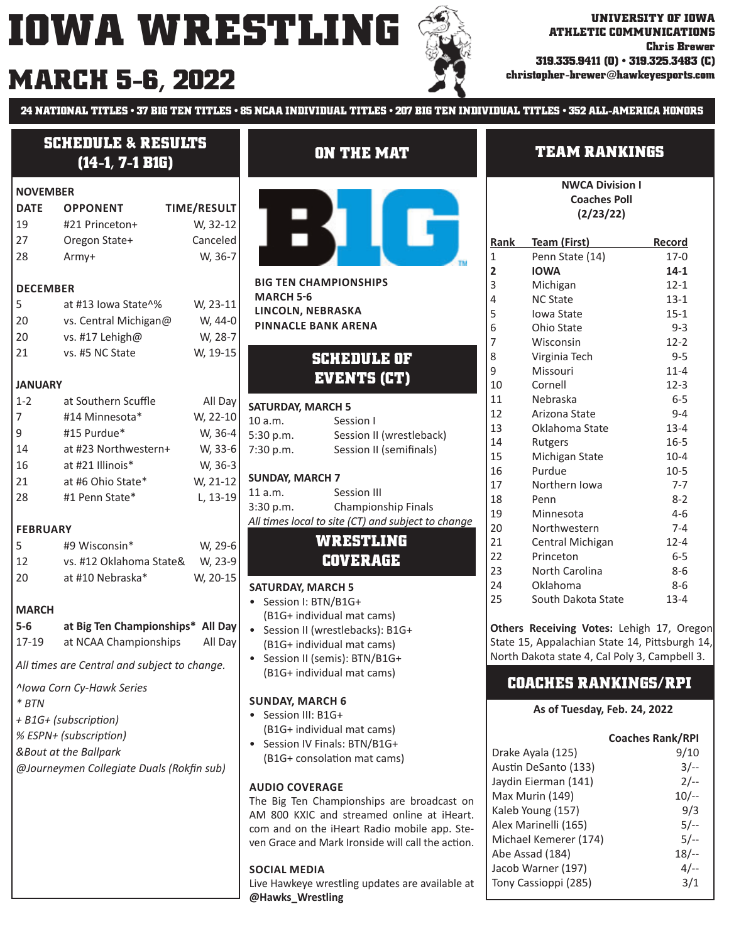# **MARCH christopher-brewer@hawkeyesports.com 5-6, 2022**



**24 NATIONAL TITLES • 37 BIG TEN TITLES • 85 NCAA INDIVIDUAL TITLES • 207 BIG TEN INDIVIDUAL TITLES • 352 ALL-AMERICA HONORS**

## **SCHEDULE & RESULTS (14-1, 7-1 B1G)**

#### **NOVEMBER**

| <b>DATE</b> | <b>OPPONENT</b> | <b>TIME/RESULT</b> |
|-------------|-----------------|--------------------|
| 19          | #21 Princeton+  | W, 32-12           |
| 27          | Oregon State+   | Canceled           |
| 28          | Armv+           | W, 36-7            |

#### **DECEMBER**

| at #13 lowa State^%   | W, 23-11 |
|-----------------------|----------|
| vs. Central Michigan@ | W. 44-0  |
| vs. #17 Lehigh@       | W. 28-7  |
| vs. #5 NC State       | W. 19-15 |
|                       |          |

#### **JANUARY**

| $1 - 2$ | at Southern Scuffle  | All Day  |
|---------|----------------------|----------|
| 7       | #14 Minnesota*       | W, 22-10 |
| q       | #15 Purdue*          | W, 36-4  |
| 14      | at #23 Northwestern+ | W, 33-6  |
| 16      | at #21 Illinois*     | W, 36-3  |
| 21      | at #6 Ohio State*    | W, 21-12 |
| 28      | #1 Penn State*       | L, 13-19 |
|         |                      |          |

#### **FEBRUARY**

| 5  | #9 Wisconsin*           | W, 29-6  |
|----|-------------------------|----------|
| 12 | vs. #12 Oklahoma State& | W, 23-9  |
| 20 | at #10 Nebraska*        | W, 20-15 |

#### **MARCH**

## **5-6 at Big Ten Championships\* All Day** 17-19 at NCAA Championships All Day

All *times are Central and subject to change*.

*^Iowa Corn Cy-Hawk Series*

- *\* BTN*
- *+ B1G+ (subscripƟ on)*
- *% ESPN+ (subscripƟ on)*
- *&Bout at the Ballpark*

*@Journeymen Collegiate Duals (Rokfin sub)* 

## **ON THE MAT**



**BIG TEN CHAMPIONSHIPS MARCH 5ͳ6 LINCOLN, NEBRASKA PINNACLE BANK ARENA**

## **SCHEDULE OF EVENTS (CT)**

| <b>SATURDAY, MARCH 5</b> |                          |  |  |  |
|--------------------------|--------------------------|--|--|--|
| 10a.m.                   | Session I                |  |  |  |
| 5:30 p.m.                | Session II (wrestleback) |  |  |  |
| 7:30 p.m.                | Session II (semifinals)  |  |  |  |
|                          |                          |  |  |  |

#### **SUNDAY, MARCH 7**

| 11a.m.    | Session III                                        |
|-----------|----------------------------------------------------|
| 3:30 p.m. | Championship Finals                                |
|           | All times local to site (CT) and subject to change |
|           |                                                    |

#### **WRESTLING COVERAGE**

#### **SATURDAY, MARCH 5**

- Session I: BTN/B1G+ (B1G+ individual mat cams)
- Session II (wrestlebacks): B1G+ (B1G+ individual mat cams)
- Session II (semis): BTN/B1G+ (B1G+ individual mat cams)

#### **SUNDAY, MARCH 6**

- Session III: B1G+ (B1G+ individual mat cams)
- Session IV Finals: BTN/B1G+ (B1G+ consolation mat cams)

#### **AUDIO COVERAGE**

The Big Ten Championships are broadcast on AM 800 KXIC and streamed online at iHeart. com and on the iHeart Radio mobile app. Steven Grace and Mark Ironside will call the action.

#### **SOCIAL MEDIA**

Live Hawkeye wrestling updates are available at **@Hawks\_Wrestling**

## **TEAM RANKINGS**

**NWCA Division I Coaches Poll (2/23/22)**

| Rank           | Team (First)       | Record   |
|----------------|--------------------|----------|
| $\mathbf{1}$   | Penn State (14)    | $17-0$   |
| $\overline{2}$ | <b>IOWA</b>        | $14 - 1$ |
| 3              | Michigan           | $12 - 1$ |
| 4              | <b>NC State</b>    | $13 - 1$ |
| 5              | Iowa State         | $15 - 1$ |
| 6              | Ohio State         | $9 - 3$  |
| 7              | Wisconsin          | $12 - 2$ |
| 8              | Virginia Tech      | 9-5      |
| 9              | Missouri           | $11 - 4$ |
| 10             | Cornell            | $12-3$   |
| 11             | Nebraska           | 6-5      |
| 12             | Arizona State      | $9 - 4$  |
| 13             | Oklahoma State     | $13 - 4$ |
| 14             | Rutgers            | $16 - 5$ |
| 15             | Michigan State     | $10 - 4$ |
| 16             | Purdue             | $10-5$   |
| 17             | Northern Iowa      | $7 - 7$  |
| 18             | Penn               | $8-2$    |
| 19             | Minnesota          | $4-6$    |
| 20             | Northwestern       | $7 - 4$  |
| 21             | Central Michigan   | $12 - 4$ |
| 22             | Princeton          | $6-5$    |
| 23             | North Carolina     | 8-6      |
| 24             | Oklahoma           | 8-6      |
| 25             | South Dakota State | $13 - 4$ |

**Others Receiving Votes:** Lehigh 17, Oregon State 15, Appalachian State 14, Pittsburgh 14, North Dakota state 4, Cal Poly 3, Campbell 3.

### **COACHES RANKINGS/RPI**

#### **As of Tuesday, Feb. 24, 2022**

|                       | <b>Coaches Rank/RPI</b> |
|-----------------------|-------------------------|
| Drake Ayala (125)     | 9/10                    |
| Austin DeSanto (133)  | $3/-$                   |
| Jaydin Eierman (141)  | $2/-$                   |
| Max Murin (149)       | $10/-$                  |
| Kaleb Young (157)     | 9/3                     |
| Alex Marinelli (165)  | $5/-$                   |
| Michael Kemerer (174) | $5/-$                   |
| Abe Assad (184)       | $18/-$                  |
| Jacob Warner (197)    | $4/-$                   |
| Tony Cassioppi (285)  |                         |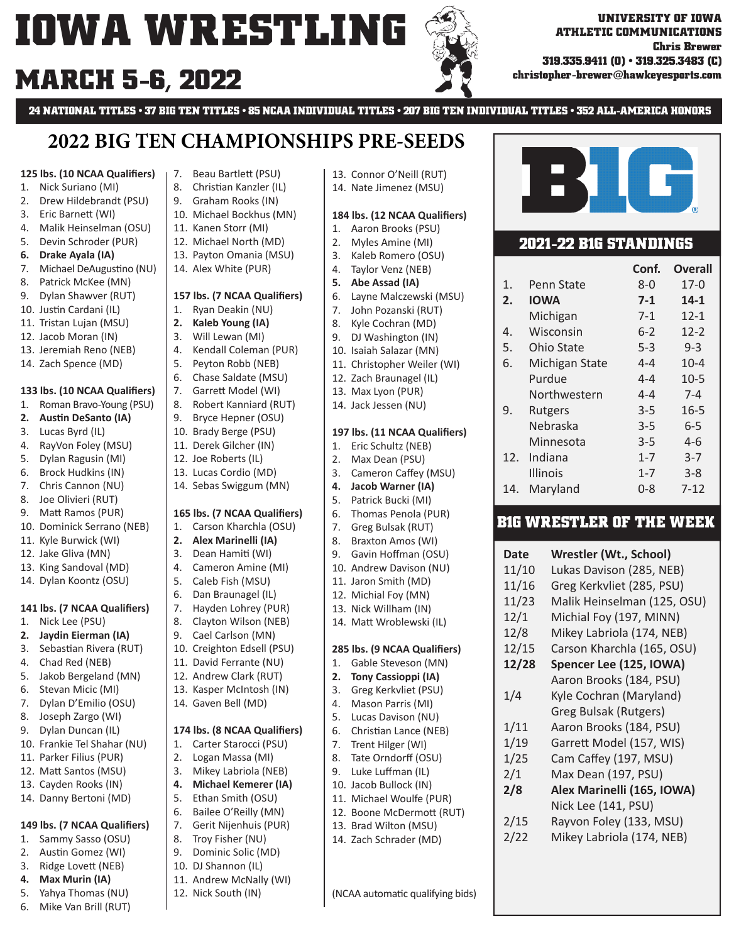# **MARCH 5-6, 2022**

**24 NATIONAL TITLES • 37 BIG TEN TITLES • 85 NCAA INDIVIDUAL TITLES • 207 BIG TEN INDIVIDUAL TITLES • 352 ALL-AMERICA HONORS**

13. Connor O'Neill (RUT) 14. Nate Jimenez (MSU)

184 lbs. (12 NCAA Qualifiers) 1. Aaron Brooks (PSU) 2. Myles Amine (MI) 3. Kaleb Romero (OSU) 4. Taylor Venz (NEB) **5. Abe Assad (IA)**

6. Layne Malczewski (MSU) 7. John Pozanski (RUT) 8. Kyle Cochran (MD) 9. DJ Washington (IN) 10. Isaiah Salazar (MN) 11. Christopher Weiler (WI) 12. Zach Braunagel (IL) 13. Max Lyon (PUR) 14. Jack Jessen (NU)

**197 lbs. (11 NCAA Qualifiers)** 1. Eric Schultz (NEB) 2. Max Dean (PSU) 3. Cameron Caffey (MSU) **4. Jacob Warner (IA)** 5. Patrick Bucki (MI) 6. Thomas Penola (PUR) 7. Greg Bulsak (RUT) 8. Braxton Amos (WI) 9. Gavin Hoffman (OSU) 10. Andrew Davison (NU) 11. Jaron Smith (MD) 12. Michial Foy (MN) 13. Nick Willham (IN) 14. Matt Wroblewski (IL)

**285 lbs. (9 NCAA Qualifiers)** 1. Gable Steveson (MN) **2. Tony Cassioppi (IA)** 3. Greg Kerkvliet (PSU) 4. Mason Parris (MI) 5. Lucas Davison (NU) 6. Christian Lance (NEB) 7. Trent Hilger (WI) 8. Tate Orndorff (OSU) 9. Luke Luffman (IL) 10. Jacob Bullock (IN) 11. Michael Woulfe (PUR) 12. Boone McDermott (RUT) 13. Brad Wilton (MSU) 14. Zach Schrader (MD)

(NCAA automatic qualifying bids)

**ATHLETIC COMMUNICATIONS**

**319.335.9411 (O) • 319.325.3483 (C) christopher-brewer@hawkeyesports.com**

**2021-22 B1G STANDINGS**

BIG)

1. Penn State 8-0 17-0 **2. IOWA 7-1 14-1** Michigan 7-1 12-1 4. Wisconsin 6-2 12-2 5. Ohio State 5-3 9-3 6. Michigan State 4-4 10-4 Purdue 4-4 10-5 Northwestern 4-4 7-4 9. Rutgers 3-5 16-5 Nebraska 3-5 6-5 Minnesota 3-5 4-6 12. Indiana 1-7 3-7 Illinois 1-7 3-8 14. Maryland 0-8 7-12

**Date Wrestler (Wt., School)** 11/10 Lukas Davison (285, NEB) 11/16 Greg Kerkvliet (285, PSU) 11/23 Malik Heinselman (125, OSU) 12/1 Michial Foy (197, MINN) 12/8 Mikey Labriola (174, NEB) 12/15 Carson Kharchla (165, OSU) **12/28 Spencer Lee (125, IOWA)**

**B1G WRESTLER OF THE WEEK**

Aaron Brooks (184, PSU)

1/4 Kyle Cochran (Maryland) Greg Bulsak (Rutgers) 1/11 Aaron Brooks (184, PSU) 1/19 Garrett Model (157, WIS) 1/25 Cam Caffey (197, MSU) 2/1 Max Dean (197, PSU) **2/8 Alex Marinelli (165, IOWA)** Nick Lee (141, PSU) 2/15 Rayvon Foley (133, MSU) 2/22 Mikey Labriola (174, NEB)

**Chris Brewer**

**Conf. Overall**

# **2022 BIG TEN CHAMPIONSHIPS PRE-SEEDS**

#### **125 lbs. (10 NCAA Qualifiers)**

- 1. Nick Suriano (MI)
- 2. Drew Hildebrandt (PSU)
- 3. Eric BarneƩ (WI)
- 4. Malik Heinselman (OSU)
- 5. Devin Schroder (PUR)
- **6. Drake Ayala (IA)**
- 7. Michael DeAugustino (NU)
- 8. Patrick McKee (MN)
- 9. Dylan Shawver (RUT)
- 10. Justin Cardani (IL)
- 11. Tristan Lujan (MSU)
- 12. Jacob Moran (IN)
- 13. Jeremiah Reno (NEB)
- 14. Zach Spence (MD)

#### **133 lbs. (10 NCAA Qualifiers)**

- 1. Roman Bravo-Young (PSU)
- **2.** Austin DeSanto (IA)
- 3. Lucas Byrd (IL)
- 4. RayVon Foley (MSU)
- 5. Dylan Ragusin (MI)
- 6. Brock Hudkins (IN)
- 7. Chris Cannon (NU)
- 8. Joe Olivieri (RUT)
- 9. Matt Ramos (PUR)
- 10. Dominick Serrano (NEB)
- 11. Kyle Burwick (WI)
- 12. Jake Gliva (MN)
- 13. King Sandoval (MD)
- 14. Dylan Koontz (OSU)

#### 141 lbs. (7 NCAA Qualifiers)

- 1. Nick Lee (PSU)
- **2. Jaydin Eierman (IA)**
- 3. Sebastian Rivera (RUT)
- 4. Chad Red (NEB)
- 5. Jakob Bergeland (MN)
- 6. Stevan Micic (MI)
- 7. Dylan D'Emilio (OSU)
- 8. Joseph Zargo (WI)
- 9. Dylan Duncan (IL)
- 10. Frankie Tel Shahar (NU)
- 11. Parker Filius (PUR)
- 12. Matt Santos (MSU)
- 13. Cayden Rooks (IN)
- 14. Danny Bertoni (MD)

#### 149 lbs. (7 NCAA Qualifiers)

- 1. Sammy Sasso (OSU)
- 2. Austin Gomez (WI)
- 3. Ridge Lovett (NEB)
- **4. Max Murin (IA)**
- 5. Yahya Thomas (NU)
- 6. Mike Van Brill (RUT)
- 7. Beau BartleƩ (PSU) 8. Christian Kanzler (IL)
- 9. Graham Rooks (IN)
- 10. Michael Bockhus (MN)
- 11. Kanen Storr (MI)
- 12. Michael North (MD)
- 13. Payton Omania (MSU)
- 14. Alex White (PUR)

#### 157 lbs. (7 NCAA Qualifiers)

- 1. Ryan Deakin (NU)
- **2. Kaleb Young (IA)**
- 3. Will Lewan (MI)
- 4. Kendall Coleman (PUR)
- 5. Peyton Robb (NEB)
- 6. Chase Saldate (MSU)
- 7. Garrett Model (WI)
- 8. Robert Kanniard (RUT)
- 9. Bryce Hepner (OSU)
- 10. Brady Berge (PSU)
- 11. Derek Gilcher (IN)
- 12. Joe Roberts (IL)
- 13. Lucas Cordio (MD)
- 14. Sebas Swiggum (MN)

#### 165 lbs. (7 NCAA Qualifiers)

- 1. Carson Kharchla (OSU)
- **2. Alex Marinelli (IA)**
- 3. Dean Hamiti (WI)
- 4. Cameron Amine (MI)
- 5. Caleb Fish (MSU)
- 6. Dan Braunagel (IL)
- 7. Hayden Lohrey (PUR)
- 8. Clayton Wilson (NEB)
- 9. Cael Carlson (MN)
- 10. Creighton Edsell (PSU)
- 11. David Ferrante (NU)
- 12. Andrew Clark (RUT)
- 13. Kasper McIntosh (IN)
- 14. Gaven Bell (MD)

#### 174 lbs. (8 NCAA Qualifiers)

- 1. Carter Starocci (PSU)
- 2. Logan Massa (MI)
- 3. Mikey Labriola (NEB)
- **4. Michael Kemerer (IA)**
- 5. Ethan Smith (OSU)
- 6. Bailee O'Reilly (MN) 7. Gerit Nijenhuis (PUR)

8. Troy Fisher (NU) 9. Dominic Solic (MD) 10. DJ Shannon (IL) 11. Andrew McNally (WI) 12. Nick South (IN)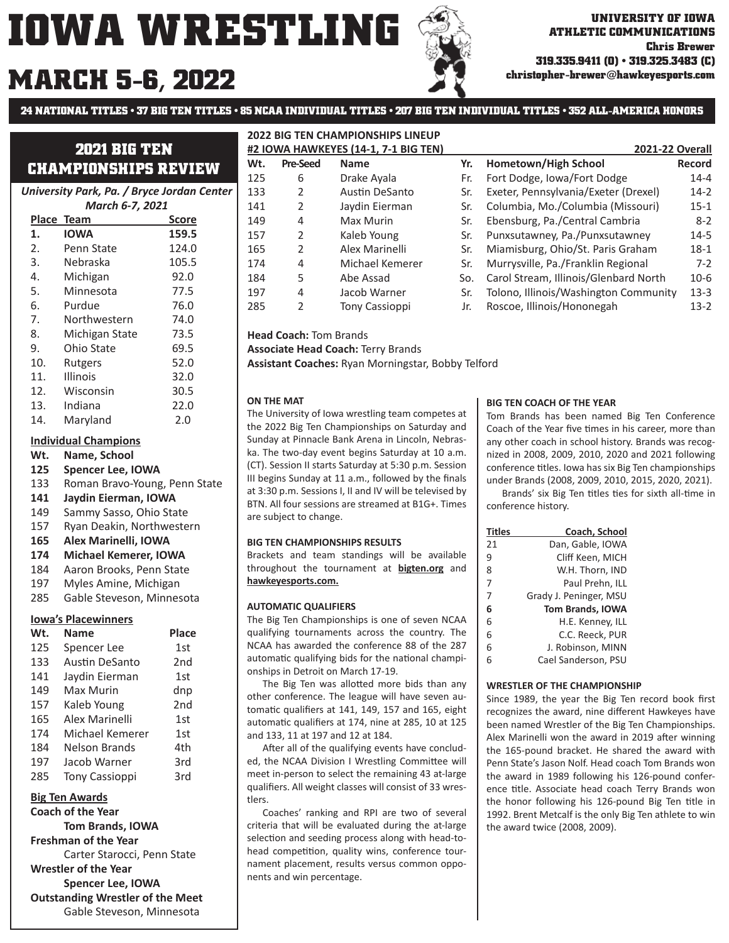# **MARCH christopher-brewer@hawkeyesports.com 5-6, 2022**

**24 NATIONAL TITLES • 37 BIG TEN TITLES • 85 NCAA INDIVIDUAL TITLES • 207 BIG TEN INDIVIDUAL TITLES • 352 ALL-AMERICA HONORS**

## **2021 BIG TEN CHAMPIONSHIPS REVIEW**

*University Park, Pa. / Bryce Jordan Center*

| <b>March 6-7, 2021</b> |                |       |  |
|------------------------|----------------|-------|--|
|                        | Place Team     | Score |  |
| 1.                     | <b>IOWA</b>    | 159.5 |  |
| 2.                     | Penn State     | 124.0 |  |
| 3.                     | Nebraska       | 105.5 |  |
| 4.                     | Michigan       | 92.0  |  |
| 5.                     | Minnesota      | 77.5  |  |
| 6.                     | Purdue         | 76.0  |  |
| 7.                     | Northwestern   | 74.0  |  |
| 8.                     | Michigan State | 73.5  |  |
| 9.                     | Ohio State     | 69.5  |  |
| 10.                    | Rutgers        | 52.0  |  |
| 11.                    | Illinois       | 32.0  |  |
| 12.                    | Wisconsin      | 30.5  |  |
| 13.                    | Indiana        | 22.0  |  |
| 14.                    | Maryland       | 2.0   |  |

#### **Individual Champions**

- **Wt. Name, School**
- **125 Spencer Lee, IOWA**
- 133 Roman Bravo-Young, Penn State
- **141 Jaydin Eierman, IOWA**
- 149 Sammy Sasso, Ohio State
- 157 Ryan Deakin, Northwestern
- **165 Alex Marinelli, IOWA**
- **174 Michael Kemerer, IOWA**
- 184 Aaron Brooks, Penn State
- 197 Myles Amine, Michigan
- 285 Gable Steveson, Minnesota

#### **Iowa's Placewinners**

| Wt. | <b>Name</b>           | Place           |
|-----|-----------------------|-----------------|
| 125 | Spencer Lee           | 1st             |
| 133 | Austin DeSanto        | 2 <sub>nd</sub> |
| 141 | Jaydin Eierman        | 1st             |
| 149 | Max Murin             | dnp             |
| 157 | Kaleb Young           | 2 <sub>nd</sub> |
| 165 | Alex Marinelli        | 1st             |
| 174 | Michael Kemerer       | 1st             |
| 184 | <b>Nelson Brands</b>  | 4th             |
| 197 | Jacob Warner          | 3rd             |
| 285 | <b>Tony Cassioppi</b> | 3rd             |

#### **Big Ten Awards**

**Coach of the Year Tom Brands, IOWA Freshman of the Year** Carter Starocci, Penn State **Wrestler of the Year Spencer Lee, IOWA Outstanding Wrestler of the Meet** Gable Steveson, Minnesota

#### **2022 BIG TEN CHAMPIONSHIPS LINEUP #2 IOWA HAWKEYES (14-1, 7-1 BIG TEN) 2021-22 Overall**

| Wt. | <b>Pre-Seed</b> | <b>Name</b>           | Yr. | Hometown/High School                  | Record   |
|-----|-----------------|-----------------------|-----|---------------------------------------|----------|
| 125 | 6               | Drake Ayala           | Fr. | Fort Dodge, Iowa/Fort Dodge           | $14 - 4$ |
| 133 | 2               | Austin DeSanto        | Sr. | Exeter, Pennsylvania/Exeter (Drexel)  | $14-2$   |
| 141 | 2               | Jaydin Eierman        | Sr. | Columbia, Mo./Columbia (Missouri)     | $15 - 1$ |
| 149 | 4               | Max Murin             | Sr. | Ebensburg, Pa./Central Cambria        | $8 - 2$  |
| 157 | 2               | Kaleb Young           | Sr. | Punxsutawney, Pa./Punxsutawney        | $14 - 5$ |
| 165 | $\mathcal{P}$   | Alex Marinelli        | Sr. | Miamisburg, Ohio/St. Paris Graham     | $18-1$   |
| 174 | 4               | Michael Kemerer       | Sr. | Murrysville, Pa./Franklin Regional    | $7 - 2$  |
| 184 | 5               | Abe Assad             | So. | Carol Stream, Illinois/Glenbard North | $10 - 6$ |
| 197 | 4               | Jacob Warner          | Sr. | Tolono, Illinois/Washington Community | $13 - 3$ |
| 285 | 2               | <b>Tony Cassioppi</b> | Jr. | Roscoe, Illinois/Hononegah            | $13-2$   |
|     |                 |                       |     |                                       |          |

**Head Coach:** Tom Brands

**Associate Head Coach:** Terry Brands

**Assistant Coaches:** Ryan Morningstar, Bobby Telford

#### **ON THE MAT**

The University of Iowa wrestling team competes at the 2022 Big Ten Championships on Saturday and Sunday at Pinnacle Bank Arena in Lincoln, Nebraska. The two-day event begins Saturday at 10 a.m. (CT). Session II starts Saturday at 5:30 p.m. Session III begins Sunday at 11 a.m., followed by the finals at 3:30 p.m. Sessions I, II and IV will be televised by BTN. All four sessions are streamed at B1G+. Times are subject to change.

#### **BIG TEN CHAMPIONSHIPS RESULTS**

Brackets and team standings will be available throughout the tournament at **bigten.org** and **hawkeyesports.com.**

#### **AUTOMATIC QUALIFIERS**

The Big Ten Championships is one of seven NCAA qualifying tournaments across the country. The NCAA has awarded the conference 88 of the 287 automatic qualifying bids for the national championships in Detroit on March 17-19.

The Big Ten was allotted more bids than any other conference. The league will have seven automatic qualifiers at 141, 149, 157 and 165, eight automatic qualifiers at 174, nine at 285, 10 at 125 and 133, 11 at 197 and 12 at 184.

After all of the qualifying events have concluded, the NCAA Division I Wrestling Committee will meet in-person to select the remaining 43 at-large qualifiers. All weight classes will consist of 33 wrestlers.

 Coaches' ranking and RPI are two of several criteria that will be evaluated during the at-large selection and seeding process along with head-tohead competition, quality wins, conference tournament placement, results versus common opponents and win percentage.

| #2 IOWA HAWKEYES (14-1, 7-1 BIG TEN) |                 |                       | 2021-22 Overall |                                       |          |
|--------------------------------------|-----------------|-----------------------|-----------------|---------------------------------------|----------|
| Wt.                                  | <b>Pre-Seed</b> | <b>Name</b>           | Yr.             | Hometown/High School                  | Record   |
| 125                                  | 6               | Drake Ayala           | Fr.             | Fort Dodge, Iowa/Fort Dodge           | $14 - 4$ |
| 133                                  | 2               | <b>Austin DeSanto</b> | Sr.             | Exeter, Pennsylvania/Exeter (Drexel)  | $14-2$   |
| 141                                  | 2               | Jaydin Eierman        | Sr.             | Columbia, Mo./Columbia (Missouri)     | $15 - 1$ |
| 149                                  | 4               | Max Murin             | Sr.             | Ebensburg, Pa./Central Cambria        | $8 - 2$  |
| 157                                  | $\overline{2}$  | Kaleb Young           | Sr.             | Punxsutawney, Pa./Punxsutawney        | $14 - 5$ |
| 165                                  | 2               | Alex Marinelli        | Sr.             | Miamisburg, Ohio/St. Paris Graham     | $18-1$   |
| 174                                  | 4               | Michael Kemerer       | Sr.             | Murrysville, Pa./Franklin Regional    | $7-2$    |
| 184                                  | 5               | Abe Assad             | So.             | Carol Stream, Illinois/Glenbard North | $10-6$   |
| 197                                  | 4               | Jacob Warner          | Sr.             | Tolono, Illinois/Washington Community | $13-3$   |
| つのに                                  | า               | Tony Carrionni        | Ir.             | <b>Doccoo</b> Illinoic/Hononogah      | 1 ລົງ    |

#### **BIG TEN COACH OF THE YEAR**

Tom Brands has been named Big Ten Conference Coach of the Year five times in his career, more than any other coach in school history. Brands was recognized in 2008, 2009, 2010, 2020 and 2021 following conference titles. Iowa has six Big Ten championships under Brands (2008, 2009, 2010, 2015, 2020, 2021).

Brands' six Big Ten titles ties for sixth all-time in conference history.

| Titles | Coach, School           |
|--------|-------------------------|
| 21     | Dan, Gable, IOWA        |
| 9      | Cliff Keen, MICH        |
| 8      | W.H. Thorn, IND         |
| 7      | Paul Prehn, ILL         |
| 7      | Grady J. Peninger, MSU  |
| 6      | <b>Tom Brands, IOWA</b> |
| 6      | H.E. Kenney, ILL        |
| 6      | C.C. Reeck, PUR         |
| 6      | J. Robinson, MINN       |
| 6      | Cael Sanderson, PSU     |

#### **WRESTLER OF THE CHAMPIONSHIP**

Since 1989, the year the Big Ten record book first recognizes the award, nine different Hawkeyes have been named Wrestler of the Big Ten Championships. Alex Marinelli won the award in 2019 after winning the 165-pound bracket. He shared the award with Penn State's Jason Nolf. Head coach Tom Brands won the award in 1989 following his 126-pound conference title. Associate head coach Terry Brands won the honor following his 126-pound Big Ten title in 1992. Brent Metcalf is the only Big Ten athlete to win the award twice (2008, 2009).

## **ATHLETIC COMMUNICATIONS Chris Brewer 319.335.9411 (O) • 319.325.3483 (C)**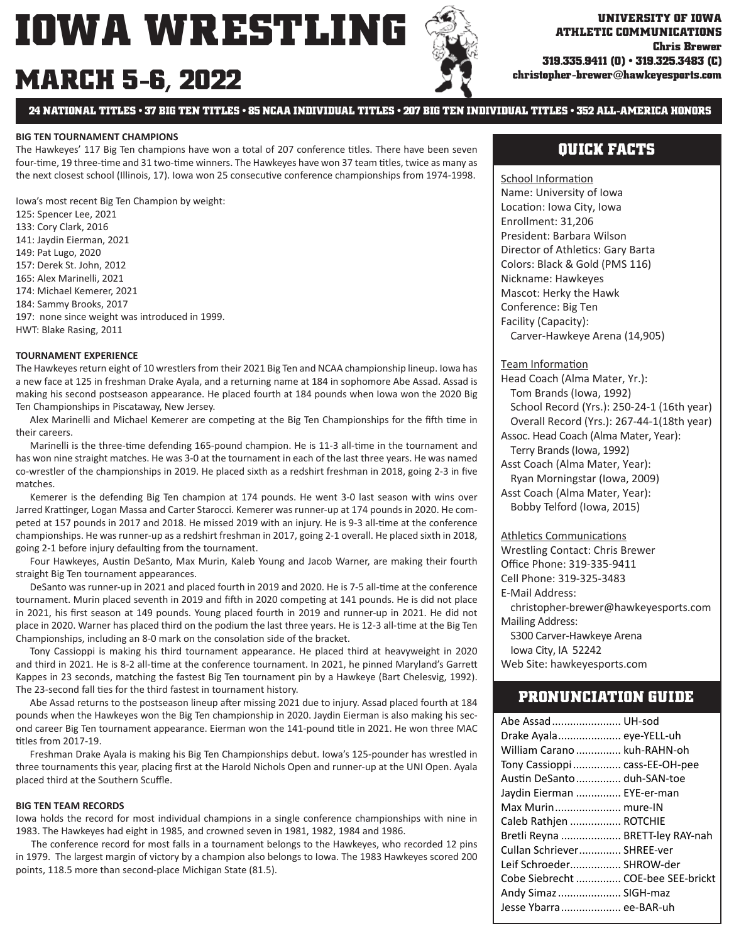# **MARCH 5-6, 2022**

**24 NATIONAL TITLES • 37 BIG TEN TITLES • 85 NCAA INDIVIDUAL TITLES • 207 BIG TEN INDIVIDUAL TITLES • 352 ALL-AMERICA HONORS**

#### **BIG TEN TOURNAMENT CHAMPIONS**

The Hawkeyes' 117 Big Ten champions have won a total of 207 conference titles. There have been seven four-time, 19 three-time and 31 two-time winners. The Hawkeyes have won 37 team titles, twice as many as the next closest school (Illinois, 17). Iowa won 25 consecutive conference championships from 1974-1998.

Iowa's most recent Big Ten Champion by weight:

125: Spencer Lee, 2021

- 133: Cory Clark, 2016
- 141: Jaydin Eierman, 2021
- 149: Pat Lugo, 2020
- 157: Derek St. John, 2012
- 165: Alex Marinelli, 2021
- 174: Michael Kemerer, 2021
- 184: Sammy Brooks, 2017
- 197: none since weight was introduced in 1999.

HWT: Blake Rasing, 2011

#### **TOURNAMENT EXPERIENCE**

The Hawkeyes return eight of 10 wrestlers from their 2021 Big Ten and NCAA championship lineup. Iowa has a new face at 125 in freshman Drake Ayala, and a returning name at 184 in sophomore Abe Assad. Assad is making his second postseason appearance. He placed fourth at 184 pounds when Iowa won the 2020 Big Ten Championships in Piscataway, New Jersey.

Alex Marinelli and Michael Kemerer are competing at the Big Ten Championships for the fifth time in their careers.

Marinelli is the three-time defending 165-pound champion. He is 11-3 all-time in the tournament and has won nine straight matches. He was 3-0 at the tournament in each of the last three years. He was named co-wrestler of the championships in 2019. He placed sixth as a redshirt freshman in 2018, going 2-3 in five matches.

 Kemerer is the defending Big Ten champion at 174 pounds. He went 3-0 last season with wins over Jarred Krattinger, Logan Massa and Carter Starocci. Kemerer was runner-up at 174 pounds in 2020. He competed at 157 pounds in 2017 and 2018. He missed 2019 with an injury. He is 9-3 all-time at the conference championships. He was runner-up as a redshirt freshman in 2017, going 2-1 overall. He placed sixth in 2018, going 2-1 before injury defaulting from the tournament.

Four Hawkeyes, Austin DeSanto, Max Murin, Kaleb Young and Jacob Warner, are making their fourth straight Big Ten tournament appearances.

DeSanto was runner-up in 2021 and placed fourth in 2019 and 2020. He is 7-5 all-time at the conference tournament. Murin placed seventh in 2019 and fifth in 2020 competing at 141 pounds. He is did not place in 2021, his first season at 149 pounds. Young placed fourth in 2019 and runner-up in 2021. He did not place in 2020. Warner has placed third on the podium the last three years. He is 12-3 all-time at the Big Ten Championships, including an 8-0 mark on the consolation side of the bracket.

 Tony Cassioppi is making his third tournament appearance. He placed third at heavyweight in 2020 and third in 2021. He is 8-2 all-time at the conference tournament. In 2021, he pinned Maryland's Garrett Kappes in 23 seconds, matching the fastest Big Ten tournament pin by a Hawkeye (Bart Chelesvig, 1992). The 23-second fall ties for the third fastest in tournament history.

Abe Assad returns to the postseason lineup after missing 2021 due to injury. Assad placed fourth at 184 pounds when the Hawkeyes won the Big Ten championship in 2020. Jaydin Eierman is also making his second career Big Ten tournament appearance. Eierman won the 141-pound title in 2021. He won three MAC titles from 2017-19.

 Freshman Drake Ayala is making his Big Ten Championships debut. Iowa's 125-pounder has wrestled in three tournaments this year, placing first at the Harold Nichols Open and runner-up at the UNI Open. Ayala placed third at the Southern Scuffle.

#### **BIG TEN TEAM RECORDS**

Iowa holds the record for most individual champions in a single conference championships with nine in 1983. The Hawkeyes had eight in 1985, and crowned seven in 1981, 1982, 1984 and 1986.

 The conference record for most falls in a tournament belongs to the Hawkeyes, who recorded 12 pins in 1979. The largest margin of victory by a champion also belongs to Iowa. The 1983 Hawkeyes scored 200 points, 118.5 more than second-place Michigan State (81.5).

## **QUICK FACTS**

School Information Name: University of Iowa Location: Iowa City, Iowa Enrollment: 31,206 President: Barbara Wilson Director of Athletics: Gary Barta Colors: Black & Gold (PMS 116) Nickname: Hawkeyes Mascot: Herky the Hawk Conference: Big Ten Facility (Capacity): Carver-Hawkeye Arena (14,905)

#### Team Information

Head Coach (Alma Mater, Yr.): Tom Brands (Iowa, 1992) School Record (Yrs.): 250-24-1 (16th year) Overall Record (Yrs.): 267-44-1(18th year) Assoc. Head Coach (Alma Mater, Year): Terry Brands (Iowa, 1992) Asst Coach (Alma Mater, Year): Ryan Morningstar (Iowa, 2009) Asst Coach (Alma Mater, Year): Bobby Telford (Iowa, 2015)

**Athletics Communications** 

Wrestling Contact: Chris Brewer Office Phone: 319-335-9411 Cell Phone: 319-325-3483 E-Mail Address: christopher-brewer@hawkeyesports.com Mailing Address: S300 Carver-Hawkeye Arena Iowa City, IA 52242 Web Site: hawkeyesports.com

#### **PRONUNCIATION GUIDE**

| Abe Assad  UH-sod                  |  |
|------------------------------------|--|
| Drake Ayala eye-YELL-uh            |  |
| William Carano  kuh-RAHN-oh        |  |
| Tony Cassioppi  cass-EE-OH-pee     |  |
| Austin DeSanto  duh-SAN-toe        |  |
| Jaydin Eierman  EYE-er-man         |  |
| Max Murin mure-IN                  |  |
| Caleb Rathjen  ROTCHIE             |  |
| Bretli Reyna  BRETT-ley RAY-nah    |  |
| Cullan Schriever SHREE-ver         |  |
| Leif Schroeder SHROW-der           |  |
| Cobe Siebrecht  COE-bee SEE-brickt |  |
| Andy Simaz  SIGH-maz               |  |
| Jesse Ybarra ee-BAR-uh             |  |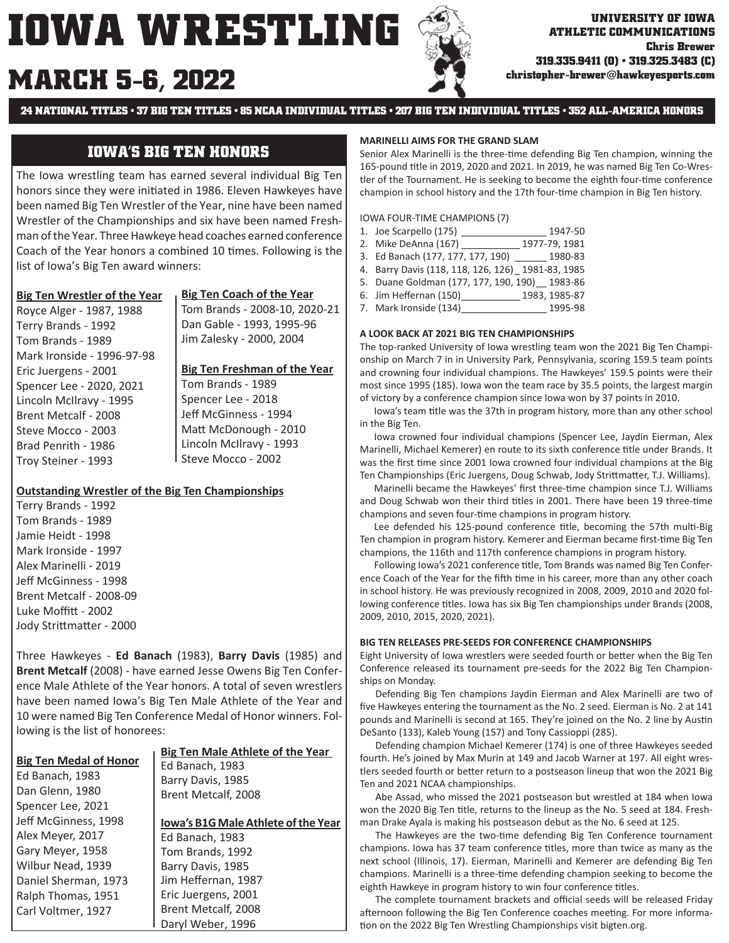# **MARCH christopher-brewer@hawkeyesports.com 5-6, 2022**



**ATHLETIC COMMUNICATIONS Chris Brewer 319.335.9411 (O) • 319.325.3483 (C)**

**24 NATIONAL TITLES • 37 BIG TEN TITLES • 85 NCAA INDIVIDUAL TITLES • 207 BIG TEN INDIVIDUAL TITLES • 352 ALL-AMERICA HONORS**

## **IOWA'S BIG TEN HONORS**

The Iowa wrestling team has earned several individual Big Ten honors since they were initiated in 1986. Eleven Hawkeyes have been named Big Ten Wrestler of the Year, nine have been named Wrestler of the Championships and six have been named Freshman of the Year. Three Hawkeye head coaches earned conference Coach of the Year honors a combined 10 times. Following is the list of Iowa's Big Ten award winners:

#### **Big Ten Wrestler of the Year**

Royce Alger - 1987, 1988 Terry Brands - 1992

**Big Ten Coach of the Year** Tom Brands - 2008-10, 2020-21 Dan Gable - 1993, 1995-96 Jim Zalesky - 2000, 2004

#### **Big Ten Freshman of the Year**

Tom Brands - 1989 Mark Ironside - 1996-97-98 Eric Juergens - 2001 Spencer Lee - 2020, 2021 Lincoln McIlravy - 1995 Brent Metcalf - 2008 Steve Mocco - 2003 Brad Penrith - 1986 Troy Steiner - 1993

Tom Brands - 1989 Spencer Lee - 2018 Jeff McGinness - 1994 Matt McDonough - 2010 Lincoln McIlravy - 1993 Steve Mocco - 2002

#### **Outstanding Wrestler of the Big Ten Championships**

Terry Brands - 1992 Tom Brands - 1989 Jamie Heidt - 1998 Mark Ironside - 1997 Alex Marinelli - 2019 Jeff McGinness - 1998 Brent Metcalf - 2008-09 Luke Moffitt - 2002 Jody Strittmatter - 2000

Three Hawkeyes - **Ed Banach** (1983), **Barry Davis** (1985) and **Brent Metcalf** (2008) - have earned Jesse Owens Big Ten Conference Male Athlete of the Year honors. A total of seven wrestlers have been named Iowa's Big Ten Male Athlete of the Year and 10 were named Big Ten Conference Medal of Honor winners. Following is the list of honorees:

|                               | <b>Big Ten Male Athlete of the Year</b>    |
|-------------------------------|--------------------------------------------|
| <b>Big Ten Medal of Honor</b> | Ed Banach, 1983                            |
| Ed Banach, 1983               | Barry Davis, 1985                          |
| Dan Glenn, 1980               | Brent Metcalf, 2008                        |
| Spencer Lee, 2021             |                                            |
| Jeff McGinness, 1998          | <b>Iowa's B1G Male Athlete of the Year</b> |
| Alex Meyer, 2017              | Ed Banach, 1983                            |
| Gary Meyer, 1958              | Tom Brands, 1992                           |
| Wilbur Nead, 1939             | Barry Davis, 1985                          |
| Daniel Sherman, 1973          | Jim Heffernan, 1987                        |
| Ralph Thomas, 1951            | Eric Juergens, 2001                        |
| Carl Voltmer, 1927            | Brent Metcalf, 2008                        |

Daryl Weber, 1996

#### **MARINELLI AIMS FOR THE GRAND SLAM**

Senior Alex Marinelli is the three-time defending Big Ten champion, winning the 165-pound title in 2019, 2020 and 2021. In 2019, he was named Big Ten Co-Wrestler of the Tournament. He is seeking to become the eighth four-time conference champion in school history and the 17th four-time champion in Big Ten history.

IOWA FOUR-TIME CHAMPIONS (7)

| 1. Joe Scarpello (175)                            | 1947-50       |
|---------------------------------------------------|---------------|
| 2. Mike DeAnna (167)                              | 1977-79, 1981 |
| 3. Ed Banach (177, 177, 177, 190)                 | 1980-83       |
| 4. Barry Davis (118, 118, 126, 126) 1981-83, 1985 |               |
| 5. Duane Goldman (177, 177, 190, 190) 1983-86     |               |
| 6. Jim Heffernan (150)                            | 1983, 1985-87 |
| 7. Mark Ironside (134)                            | 1995-98       |
|                                                   |               |

#### **A LOOK BACK AT 2021 BIG TEN CHAMPIONSHIPS**

The top-ranked University of Iowa wrestling team won the 2021 Big Ten Championship on March 7 in in University Park, Pennsylvania, scoring 159.5 team points and crowning four individual champions. The Hawkeyes' 159.5 points were their most since 1995 (185). Iowa won the team race by 35.5 points, the largest margin of victory by a conference champion since Iowa won by 37 points in 2010.

Iowa's team title was the 37th in program history, more than any other school in the Big Ten.

 Iowa crowned four individual champions (Spencer Lee, Jaydin Eierman, Alex Marinelli, Michael Kemerer) en route to its sixth conference title under Brands. It was the first time since 2001 Iowa crowned four individual champions at the Big Ten Championships (Eric Juergens, Doug Schwab, Jody Strittmatter, T.J. Williams).

Marinelli became the Hawkeyes' first three-time champion since T.J. Williams and Doug Schwab won their third titles in 2001. There have been 19 three-time champions and seven four-time champions in program history.

Lee defended his 125-pound conference title, becoming the 57th multi-Big Ten champion in program history. Kemerer and Eierman became first-time Big Ten champions, the 116th and 117th conference champions in program history.

Following Iowa's 2021 conference title, Tom Brands was named Big Ten Conference Coach of the Year for the fifth time in his career, more than any other coach in school history. He was previously recognized in 2008, 2009, 2010 and 2020 following conference titles. Iowa has six Big Ten championships under Brands (2008, 2009, 2010, 2015, 2020, 2021).

#### **BIG TEN RELEASES PRE-SEEDS FOR CONFERENCE CHAMPIONSHIPS**

Eight University of Iowa wrestlers were seeded fourth or better when the Big Ten Conference released its tournament pre-seeds for the 2022 Big Ten Championships on Monday.

 Defending Big Ten champions Jaydin Eierman and Alex Marinelli are two of five Hawkeyes entering the tournament as the No. 2 seed. Eierman is No. 2 at 141 pounds and Marinelli is second at 165. They're joined on the No. 2 line by Austin DeSanto (133), Kaleb Young (157) and Tony Cassioppi (285).

 Defending champion Michael Kemerer (174) is one of three Hawkeyes seeded fourth. He's joined by Max Murin at 149 and Jacob Warner at 197. All eight wrestlers seeded fourth or better return to a postseason lineup that won the 2021 Big Ten and 2021 NCAA championships.

 Abe Assad, who missed the 2021 postseason but wrestled at 184 when Iowa won the 2020 Big Ten title, returns to the lineup as the No. 5 seed at 184. Freshman Drake Ayala is making his postseason debut as the No. 6 seed at 125.

The Hawkeyes are the two-time defending Big Ten Conference tournament champions. Iowa has 37 team conference titles, more than twice as many as the next school (Illinois, 17). Eierman, Marinelli and Kemerer are defending Big Ten champions. Marinelli is a three-time defending champion seeking to become the eighth Hawkeye in program history to win four conference titles.

The complete tournament brackets and official seeds will be released Friday afternoon following the Big Ten Conference coaches meeting. For more information on the 2022 Big Ten Wrestling Championships visit bigten.org.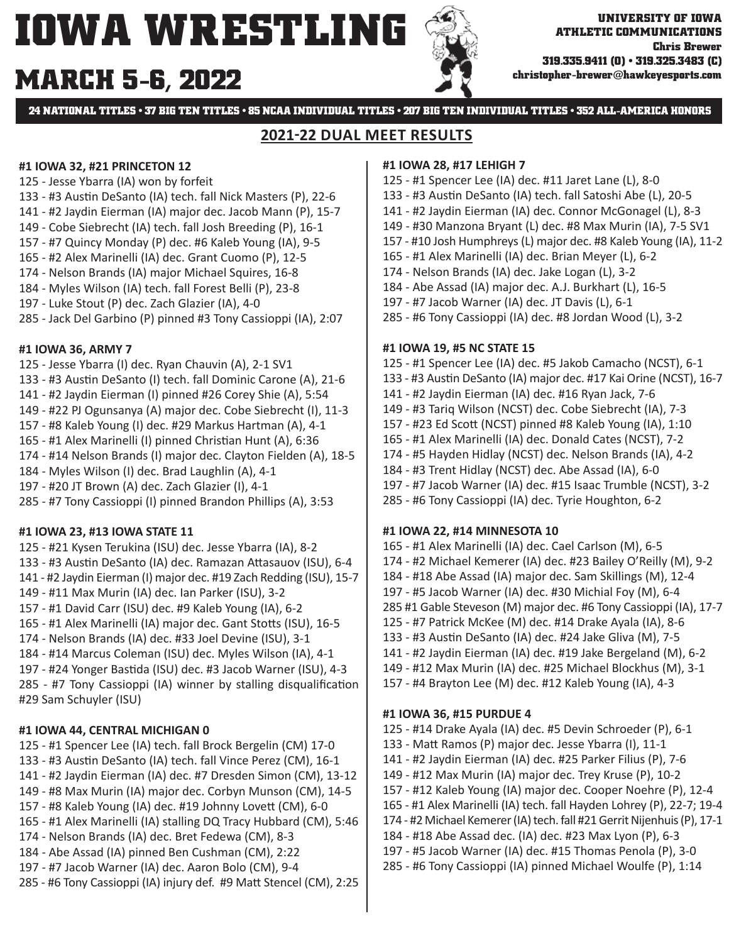# **MARCH 5-6, 2022**



**24 NATIONAL TITLES • 37 BIG TEN TITLES • 85 NCAA INDIVIDUAL TITLES • 207 BIG TEN INDIVIDUAL TITLES • 352 ALL-AMERICA HONORS**

### **2021-22 DUAL MEET RESULTS**

#### **#1 IOWA 32, #21 PRINCETON 12**

- 125 Jesse Ybarra (IA) won by forfeit
- 133 #3 Austin DeSanto (IA) tech. fall Nick Masters (P), 22-6
- 141 #2 Jaydin Eierman (IA) major dec. Jacob Mann (P), 15-7
- 149 Cobe Siebrecht (IA) tech. fall Josh Breeding (P), 16-1
- 157 #7 Quincy Monday (P) dec. #6 Kaleb Young (IA), 9-5
- 165 #2 Alex Marinelli (IA) dec. Grant Cuomo (P), 12-5
- 174 Nelson Brands (IA) major Michael Squires, 16-8
- 184 Myles Wilson (IA) tech. fall Forest Belli (P), 23-8
- 197 Luke Stout (P) dec. Zach Glazier (IA), 4-0
- 285 Jack Del Garbino (P) pinned #3 Tony Cassioppi (IA), 2:07

#### **#1 IOWA 36, ARMY 7**

- 125 Jesse Ybarra (I) dec. Ryan Chauvin (A), 2-1 SV1 133 - #3 Austin DeSanto (I) tech. fall Dominic Carone (A), 21-6
- 141 #2 Jaydin Eierman (I) pinned #26 Corey Shie (A), 5:54
- 149 #22 PJ Ogunsanya (A) major dec. Cobe Siebrecht (I), 11-3
- 157 #8 Kaleb Young (I) dec. #29 Markus Hartman (A), 4-1
- 165 #1 Alex Marinelli (I) pinned Christian Hunt (A), 6:36
- 174 #14 Nelson Brands (I) major dec. Clayton Fielden (A), 18-5
- 184 Myles Wilson (I) dec. Brad Laughlin (A), 4-1
- 197 #20 JT Brown (A) dec. Zach Glazier (I), 4-1
- 285 #7 Tony Cassioppi (I) pinned Brandon Phillips (A), 3:53

#### **#1 IOWA 23, #13 IOWA STATE 11**

- 125 #21 Kysen Terukina (ISU) dec. Jesse Ybarra (IA), 8-2 133 - #3 Austin DeSanto (IA) dec. Ramazan Attasauov (ISU), 6-4 141 - #2 Jaydin Eierman (I) major dec. #19 Zach Redding (ISU), 15-7
- 149 #11 Max Murin (IA) dec. Ian Parker (ISU), 3-2
- 157 #1 David Carr (ISU) dec. #9 Kaleb Young (IA), 6-2
- 165 #1 Alex Marinelli (IA) major dec. Gant Stotts (ISU), 16-5
- 174 Nelson Brands (IA) dec. #33 Joel Devine (ISU), 3-1
- 184 #14 Marcus Coleman (ISU) dec. Myles Wilson (IA), 4-1
- 197 #24 Yonger Bastida (ISU) dec. #3 Jacob Warner (ISU), 4-3

 $285 - #7$  Tony Cassioppi (IA) winner by stalling disqualification #29 Sam Schuyler (ISU)

### **#1 IOWA 44, CENTRAL MICHIGAN 0**

- 125 #1 Spencer Lee (IA) tech. fall Brock Bergelin (CM) 17-0
- 133 #3 Austin DeSanto (IA) tech. fall Vince Perez (CM), 16-1
- 141 #2 Jaydin Eierman (IA) dec. #7 Dresden Simon (CM), 13-12
- 149 #8 Max Murin (IA) major dec. Corbyn Munson (CM), 14-5
- 157 #8 Kaleb Young (IA) dec. #19 Johnny Lovett (CM), 6-0
- 165 #1 Alex Marinelli (IA) stalling DQ Tracy Hubbard (CM), 5:46
- 174 Nelson Brands (IA) dec. Bret Fedewa (CM), 8-3
- 184 Abe Assad (IA) pinned Ben Cushman (CM), 2:22
- 197 #7 Jacob Warner (IA) dec. Aaron Bolo (CM), 9-4
- 285 #6 Tony Cassioppi (IA) injury def. #9 Matt Stencel (CM), 2:25

#### **#1 IOWA 28, #17 LEHIGH 7**

- 125 #1 Spencer Lee (IA) dec. #11 Jaret Lane (L), 8-0
- 133 #3 Austin DeSanto (IA) tech. fall Satoshi Abe (L), 20-5
- 141 #2 Jaydin Eierman (IA) dec. Connor McGonagel (L), 8-3
- 149 #30 Manzona Bryant (L) dec. #8 Max Murin (IA), 7-5 SV1
- 157 #10 Josh Humphreys (L) major dec. #8 Kaleb Young (IA), 11-2
- 165 #1 Alex Marinelli (IA) dec. Brian Meyer (L), 6-2
- 174 Nelson Brands (IA) dec. Jake Logan (L), 3-2
- 184 Abe Assad (IA) major dec. A.J. Burkhart (L), 16-5
- 197 #7 Jacob Warner (IA) dec. JT Davis (L), 6-1
- 285 #6 Tony Cassioppi (IA) dec. #8 Jordan Wood (L), 3-2

#### **#1 IOWA 19, #5 NC STATE 15**

- 125 #1 Spencer Lee (IA) dec. #5 Jakob Camacho (NCST), 6-1
- 133 #3 Austin DeSanto (IA) major dec. #17 Kai Orine (NCST), 16-7
- 141 #2 Jaydin Eierman (IA) dec. #16 Ryan Jack, 7-6
- 149 #3 Tariq Wilson (NCST) dec. Cobe Siebrecht (IA), 7-3
- 157 #23 Ed ScoƩ (NCST) pinned #8 Kaleb Young (IA), 1:10
- 165 #1 Alex Marinelli (IA) dec. Donald Cates (NCST), 7-2
- 174 #5 Hayden Hidlay (NCST) dec. Nelson Brands (IA), 4-2
- 184 #3 Trent Hidlay (NCST) dec. Abe Assad (IA), 6-0
- 197 #7 Jacob Warner (IA) dec. #15 Isaac Trumble (NCST), 3-2
- 285 #6 Tony Cassioppi (IA) dec. Tyrie Houghton, 6-2

#### **#1 IOWA 22, #14 MINNESOTA 10**

165 - #1 Alex Marinelli (IA) dec. Cael Carlson (M), 6-5 174 - #2 Michael Kemerer (IA) dec. #23 Bailey O'Reilly (M), 9-2 184 - #18 Abe Assad (IA) major dec. Sam Skillings (M), 12-4 197 - #5 Jacob Warner (IA) dec. #30 Michial Foy (M), 6-4 285 #1 Gable Steveson (M) major dec. #6 Tony Cassioppi (IA), 17-7 125 - #7 Patrick McKee (M) dec. #14 Drake Ayala (IA), 8-6 133 - #3 Austin DeSanto (IA) dec. #24 Jake Gliva (M), 7-5 141 - #2 Jaydin Eierman (IA) dec. #19 Jake Bergeland (M), 6-2 149 - #12 Max Murin (IA) dec. #25 Michael Blockhus (M), 3-1 157 - #4 Brayton Lee (M) dec. #12 Kaleb Young (IA), 4-3

#### **#1 IOWA 36, #15 PURDUE 4**

125 - #14 Drake Ayala (IA) dec. #5 Devin Schroeder (P), 6-1

- 133 MaƩ Ramos (P) major dec. Jesse Ybarra (I), 11-1
- 141 #2 Jaydin Eierman (IA) dec. #25 Parker Filius (P), 7-6
- 149 #12 Max Murin (IA) major dec. Trey Kruse (P), 10-2
- 157 #12 Kaleb Young (IA) major dec. Cooper Noehre (P), 12-4
- 165 #1 Alex Marinelli (IA) tech. fall Hayden Lohrey (P), 22-7; 19-4
- 174 #2 Michael Kemerer (IA) tech. fall #21 Gerrit Nijenhuis (P), 17-1
- 184 #18 Abe Assad dec. (IA) dec. #23 Max Lyon (P), 6-3
- 197 #5 Jacob Warner (IA) dec. #15 Thomas Penola (P), 3-0
- 285 #6 Tony Cassioppi (IA) pinned Michael Woulfe (P), 1:14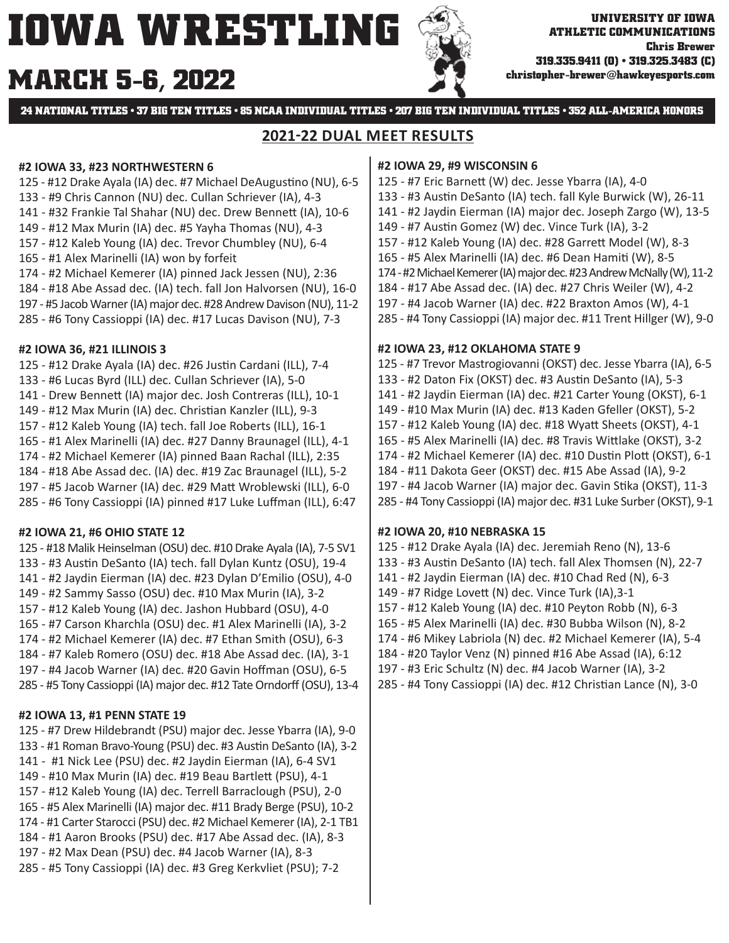# **MARCH christopher-brewer@hawkeyesports.com 5-6, 2022**



**24 NATIONAL TITLES • 37 BIG TEN TITLES • 85 NCAA INDIVIDUAL TITLES • 207 BIG TEN INDIVIDUAL TITLES • 352 ALL-AMERICA HONORS**

## **2021-22 DUAL MEET RESULTS**

#### **#2 IOWA 33, #23 NORTHWESTERN 6**

- 125 #12 Drake Ayala (IA) dec. #7 Michael DeAugustino (NU), 6-5
- 133 #9 Chris Cannon (NU) dec. Cullan Schriever (IA), 4-3
- 141 #32 Frankie Tal Shahar (NU) dec. Drew Bennett (IA), 10-6
- 149 #12 Max Murin (IA) dec. #5 Yayha Thomas (NU), 4-3
- 157 #12 Kaleb Young (IA) dec. Trevor Chumbley (NU), 6-4
- 165 #1 Alex Marinelli (IA) won by forfeit
- 174 #2 Michael Kemerer (IA) pinned Jack Jessen (NU), 2:36
- 184 #18 Abe Assad dec. (IA) tech. fall Jon Halvorsen (NU), 16-0
- 197 #5 Jacob Warner (IA) major dec. #28 Andrew Davison (NU), 11-2
- 285 #6 Tony Cassioppi (IA) dec. #17 Lucas Davison (NU), 7-3

### **#2 IOWA 36, #21 ILLINOIS 3**

125 - #12 Drake Ayala (IA) dec. #26 Justin Cardani (ILL), 7-4 133 - #6 Lucas Byrd (ILL) dec. Cullan Schriever (IA), 5-0 141 - Drew BenneƩ (IA) major dec. Josh Contreras (ILL), 10-1 149 - #12 Max Murin (IA) dec. Christian Kanzler (ILL), 9-3 157 - #12 Kaleb Young (IA) tech. fall Joe Roberts (ILL), 16-1 165 - #1 Alex Marinelli (IA) dec. #27 Danny Braunagel (ILL), 4-1 174 - #2 Michael Kemerer (IA) pinned Baan Rachal (ILL), 2:35 184 - #18 Abe Assad dec. (IA) dec. #19 Zac Braunagel (ILL), 5-2 197 - #5 Jacob Warner (IA) dec. #29 MaƩ Wroblewski (ILL), 6-0 285 - #6 Tony Cassioppi (IA) pinned #17 Luke Luffman (ILL), 6:47

### **#2 IOWA 21, #6 OHIO STATE 12**

125 - #18 Malik Heinselman (OSU) dec. #10 Drake Ayala (IA), 7-5 SV1 133 - #3 Austin DeSanto (IA) tech. fall Dylan Kuntz (OSU), 19-4 141 - #2 Jaydin Eierman (IA) dec. #23 Dylan D'Emilio (OSU), 4-0 149 - #2 Sammy Sasso (OSU) dec. #10 Max Murin (IA), 3-2 157 - #12 Kaleb Young (IA) dec. Jashon Hubbard (OSU), 4-0 165 - #7 Carson Kharchla (OSU) dec. #1 Alex Marinelli (IA), 3-2 174 - #2 Michael Kemerer (IA) dec. #7 Ethan Smith (OSU), 6-3 184 - #7 Kaleb Romero (OSU) dec. #18 Abe Assad dec. (IA), 3-1 197 - #4 Jacob Warner (IA) dec. #20 Gavin Hoffman (OSU), 6-5 285 - #5 Tony Cassioppi (IA) major dec. #12 Tate Orndorff (OSU), 13-4

### **#2 IOWA 13, #1 PENN STATE 19**

125 - #7 Drew Hildebrandt (PSU) major dec. Jesse Ybarra (IA), 9-0 133 - #1 Roman Bravo-Young (PSU) dec. #3 Austin DeSanto (IA), 3-2 141 - #1 Nick Lee (PSU) dec. #2 Jaydin Eierman (IA), 6-4 SV1 149 - #10 Max Murin (IA) dec. #19 Beau Bartlett (PSU), 4-1 157 - #12 Kaleb Young (IA) dec. Terrell Barraclough (PSU), 2-0 165 - #5 Alex Marinelli (IA) major dec. #11 Brady Berge (PSU), 10-2 174 - #1 Carter Starocci (PSU) dec. #2 Michael Kemerer (IA), 2-1 TB1 184 - #1 Aaron Brooks (PSU) dec. #17 Abe Assad dec. (IA), 8-3 197 - #2 Max Dean (PSU) dec. #4 Jacob Warner (IA), 8-3 285 - #5 Tony Cassioppi (IA) dec. #3 Greg Kerkvliet (PSU); 7-2

#### **#2 IOWA 29, #9 WISCONSIN 6**

- 125 #7 Eric BarneƩ (W) dec. Jesse Ybarra (IA), 4-0 133 - #3 Austin DeSanto (IA) tech. fall Kyle Burwick (W), 26-11
- 141 #2 Jaydin Eierman (IA) major dec. Joseph Zargo (W), 13-5
- 149 #7 Austin Gomez (W) dec. Vince Turk (IA), 3-2
- 157 #12 Kaleb Young (IA) dec. #28 GarreƩ Model (W), 8-3
- 165 #5 Alex Marinelli (IA) dec. #6 Dean Hamiti (W), 8-5
- 174 #2 Michael Kemerer (IA) major dec. #23 Andrew McNally (W), 11-2
- 184 #17 Abe Assad dec. (IA) dec. #27 Chris Weiler (W), 4-2
- 197 #4 Jacob Warner (IA) dec. #22 Braxton Amos (W), 4-1
- 285 #4 Tony Cassioppi (IA) major dec. #11 Trent Hillger (W), 9-0

### **#2 IOWA 23, #12 OKLAHOMA STATE 9**

125 - #7 Trevor Mastrogiovanni (OKST) dec. Jesse Ybarra (IA), 6-5 133 - #2 Daton Fix (OKST) dec. #3 Austin DeSanto (IA), 5-3 141 - #2 Jaydin Eierman (IA) dec. #21 Carter Young (OKST), 6-1 149 - #10 Max Murin (IA) dec. #13 Kaden Gfeller (OKST), 5-2 157 - #12 Kaleb Young (IA) dec. #18 WyaƩ Sheets (OKST), 4-1 165 - #5 Alex Marinelli (IA) dec. #8 Travis Wittlake (OKST), 3-2 174 - #2 Michael Kemerer (IA) dec. #10 Dustin Plott (OKST), 6-1 184 - #11 Dakota Geer (OKST) dec. #15 Abe Assad (IA), 9-2 197 - #4 Jacob Warner (IA) major dec. Gavin Stika (OKST), 11-3 285 - #4 Tony Cassioppi (IA) major dec. #31 Luke Surber (OKST), 9-1

### **#2 IOWA 20, #10 NEBRASKA 15**

125 - #12 Drake Ayala (IA) dec. Jeremiah Reno (N), 13-6 133 - #3 Austin DeSanto (IA) tech. fall Alex Thomsen (N), 22-7 141 - #2 Jaydin Eierman (IA) dec. #10 Chad Red (N), 6-3 149 - #7 Ridge LoveƩ (N) dec. Vince Turk (IA),3-1 157 - #12 Kaleb Young (IA) dec. #10 Peyton Robb (N), 6-3 165 - #5 Alex Marinelli (IA) dec. #30 Bubba Wilson (N), 8-2 174 - #6 Mikey Labriola (N) dec. #2 Michael Kemerer (IA), 5-4 184 - #20 Taylor Venz (N) pinned #16 Abe Assad (IA), 6:12

- 197 #3 Eric Schultz (N) dec. #4 Jacob Warner (IA), 3-2
- 285 #4 Tony Cassioppi (IA) dec. #12 Christian Lance (N), 3-0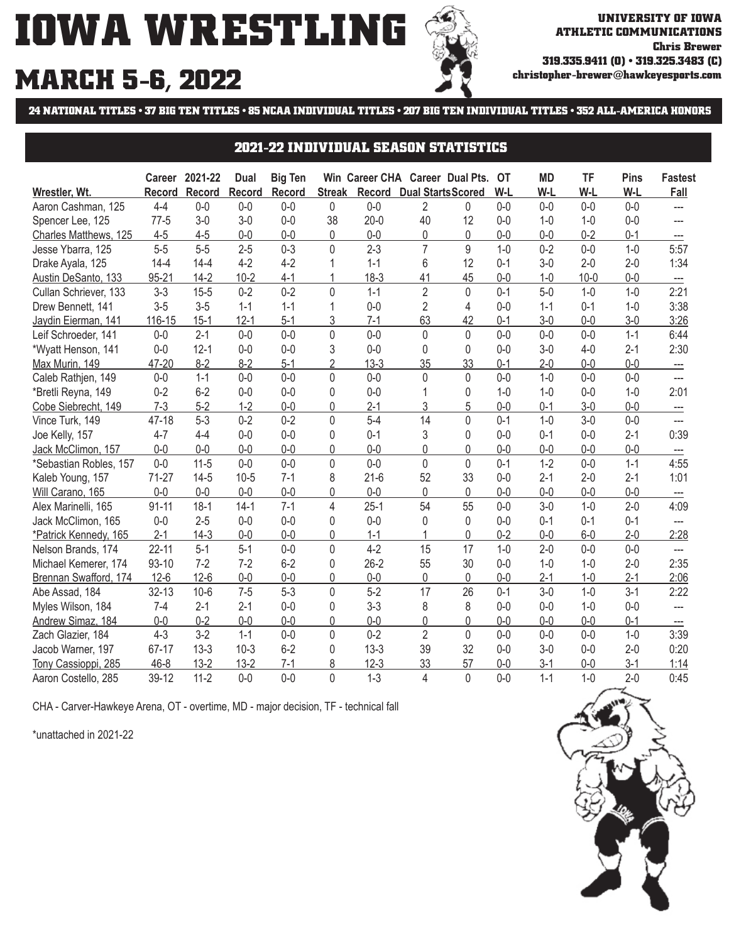# **IOWA WRESTLING MARCH 5-6, 2022**



## **24 NATIONAL TITLES • 37 BIG TEN TITLES • 85 NCAA INDIVIDUAL TITLES • 207 BIG TEN INDIVIDUAL TITLES • 352 ALL-AMERICA HONORS**

#### **2021-22 INDIVIDUAL SEASON STATISTICS**

|                        |               | Career 2021-22 | <b>Dual</b>   | <b>Big Ten</b> |                |               | Win Career CHA Career Dual Pts. |              | ЮT      | <b>MD</b> | TF       | <b>Pins</b> | <b>Fastest</b>           |
|------------------------|---------------|----------------|---------------|----------------|----------------|---------------|---------------------------------|--------------|---------|-----------|----------|-------------|--------------------------|
| Wrestler, Wt.          | <b>Record</b> | Record         | <b>Record</b> | Record         | <b>Streak</b>  | <b>Record</b> | <b>Dual StartsScored</b>        |              | W-L     | W-L       | W-L      | W-L         | Fall                     |
| Aaron Cashman, 125     | $4 - 4$       | $0-0$          | $0-0$         | $0-0$          | 0              | $0-0$         | $\overline{2}$                  | $\mathbf{0}$ | $0-0$   | $0-0$     | $0-0$    | $0-0$       | ---                      |
| Spencer Lee, 125       | $77-5$        | $3-0$          | $3-0$         | $0-0$          | 38             | $20 - 0$      | 40                              | 12           | $0 - 0$ | $1-0$     | $1 - 0$  | $0-0$       |                          |
| Charles Matthews, 125  | $4 - 5$       | $4 - 5$        | $0-0$         | $0-0$          | 0              | $0-0$         | 0                               | $\mathbf{0}$ | $0 - 0$ | $0-0$     | $0 - 2$  | $0 - 1$     |                          |
| Jesse Ybarra, 125      | $5-5$         | $5-5$          | $2 - 5$       | $0 - 3$        | $\Omega$       | $2 - 3$       | $\overline{7}$                  | 9            | $1 - 0$ | $0 - 2$   | $0-0$    | $1 - 0$     | 5:57                     |
| Drake Ayala, 125       | $14 - 4$      | $14 - 4$       | $4 - 2$       | $4 - 2$        |                | $1 - 1$       | 6                               | 12           | $0 - 1$ | $3 - 0$   | $2 - 0$  | $2 - 0$     | 1:34                     |
| Austin DeSanto, 133    | 95-21         | $14-2$         | $10 - 2$      | $4 - 1$        |                | $18-3$        | 41                              | 45           | $0 - 0$ | $1 - 0$   | $10 - 0$ | $0 - 0$     | $-\!-\!$                 |
| Cullan Schriever, 133  | $3 - 3$       | $15 - 5$       | $0 - 2$       | $0 - 2$        | $\Omega$       | $1 - 1$       | $\overline{2}$                  | $\Omega$     | $0 - 1$ | $5-0$     | $1 - 0$  | $1 - 0$     | 2:21                     |
| Drew Bennett, 141      | $3-5$         | $3-5$          | $1 - 1$       | $1 - 1$        | 1              | $0-0$         | $\overline{2}$                  | 4            | $0 - 0$ | $1 - 1$   | $0 - 1$  | $1 - 0$     | 3:38                     |
| Jaydin Eierman, 141    | 116-15        | $15-1$         | $12 - 1$      | $5-1$          | 3              | $7 - 1$       | 63                              | 42           | $0 - 1$ | $3-0$     | $0-0$    | $3-0$       | 3:26                     |
| Leif Schroeder, 141    | $0-0$         | $2 - 1$        | $0 - 0$       | $0-0$          | 0              | $0 - 0$       | 0                               | $\mathbf{0}$ | $0 - 0$ | $0 - 0$   | $0 - 0$  | $1 - 1$     | 6:44                     |
| *Wyatt Henson, 141     | $0-0$         | $12 - 1$       | $0-0$         | $0-0$          | 3              | $0 - 0$       | 0                               | $\Omega$     | $0 - 0$ | $3-0$     | $4 - 0$  | $2 - 1$     | 2:30                     |
| Max Murin, 149         | 47-20         | $8 - 2$        | $8 - 2$       | $5-1$          | $\overline{2}$ | $13-3$        | 35                              | 33           | $0 - 1$ | $2 - 0$   | $0 - 0$  | $0 - 0$     | $\equiv$                 |
| Caleb Rathjen, 149     | $0-0$         | $1 - 1$        | $0 - 0$       | $0 - 0$        | $\Omega$       | $0-0$         | 0                               | $\Omega$     | $0 - 0$ | $1-0$     | $0-0$    | $0 - 0$     | $---$                    |
| *Bretli Reyna, 149     | $0 - 2$       | $6-2$          | $0-0$         | $0-0$          | 0              | $0 - 0$       |                                 | $\mathbf{0}$ | $1 - 0$ | $1-0$     | $0-0$    | $1 - 0$     | 2:01                     |
| Cobe Siebrecht, 149    | $7-3$         | $5 - 2$        | $1 - 2$       | $0 - 0$        | 0              | $2 - 1$       | 3                               | 5            | $0 - 0$ | $0 - 1$   | $3 - 0$  | $0 - 0$     | $-$                      |
| Vince Turk, 149        | 47-18         | $5-3$          | $0 - 2$       | $0 - 2$        | $\overline{0}$ | $5-4$         | 14                              | $\Omega$     | $0 - 1$ | $1 - 0$   | $3-0$    | $0 - 0$     | ---                      |
| Joe Kelly, 157         | $4 - 7$       | $4 - 4$        | $0-0$         | $0 - 0$        | 0              | $0 - 1$       | 3                               | $\mathbf{0}$ | $0 - 0$ | $0 - 1$   | $0-0$    | $2 - 1$     | 0:39                     |
| Jack McClimon, 157     | $0-0$         | $0-0$          | $0-0$         | $0-0$          | 0              | $0-0$         | $\Omega$                        | 0            | $0 - 0$ | $0-0$     | $0-0$    | $0 - 0$     |                          |
| *Sebastian Robles, 157 | $0-0$         | $11-5$         | $0-0$         | $0 - 0$        | 0              | $0 - 0$       | $\overline{0}$                  | $\mathbf{0}$ | $0 - 1$ | $1-2$     | $0-0$    | $1 - 1$     | 4:55                     |
| Kaleb Young, 157       | $71-27$       | $14-5$         | $10 - 5$      | $7 - 1$        | 8              | $21-6$        | 52                              | 33           | $0 - 0$ | $2-1$     | $2 - 0$  | $2 - 1$     | 1:01                     |
| Will Carano, 165       | $0-0$         | $0 - 0$        | $0-0$         | $0-0$          | 0              | $0-0$         | 0                               | $\mathbf{0}$ | $0 - 0$ | $0-0$     | $0-0$    | $0-0$       |                          |
| Alex Marinelli, 165    | $91 - 11$     | $18-1$         | $14-1$        | $7 - 1$        | 4              | $25 - 1$      | 54                              | 55           | $0 - 0$ | $3-0$     | $1 - 0$  | $2 - 0$     | 4:09                     |
| Jack McClimon, 165     | $0 - 0$       | $2 - 5$        | $0-0$         | $0 - 0$        | $\Omega$       | $0 - 0$       | 0                               | $\Omega$     | $0 - 0$ | $0 - 1$   | $0 - 1$  | $0 - 1$     |                          |
| *Patrick Kennedy, 165  | $2 - 1$       | $14-3$         | $0 - 0$       | $0 - 0$        | 0              | $1 - 1$       |                                 | $\Omega$     | $0 - 2$ | $0 - 0$   | $6-0$    | $2 - 0$     | 2:28                     |
| Nelson Brands, 174     | $22 - 11$     | $5 - 1$        | $5-1$         | $0 - 0$        | 0              | $4 - 2$       | 15                              | 17           | $1 - 0$ | $2 - 0$   | $0 - 0$  | $0-0$       | $\hspace{0.05cm} \ldots$ |
| Michael Kemerer, 174   | $93 - 10$     | $7 - 2$        | $7 - 2$       | $6 - 2$        | 0              | $26 - 2$      | 55                              | 30           | $0 - 0$ | $1-0$     | $1 - 0$  | $2 - 0$     | 2:35                     |
| Brennan Swafford, 174  | $12 - 6$      | $12-6$         | $0-0$         | $0 - 0$        | 0              | $0 - 0$       | 0                               | $\mathbf{0}$ | $0 - 0$ | $2 - 1$   | $1-0$    | $2 - 1$     | 2:06                     |
| Abe Assad, 184         | $32 - 13$     | $10-6$         | $7 - 5$       | $5 - 3$        | 0              | $5-2$         | 17                              | 26           | $0 - 1$ | $3-0$     | $1 - 0$  | $3 - 1$     | 2:22                     |
| Myles Wilson, 184      | $7-4$         | $2 - 1$        | $2 - 1$       | $0 - 0$        | $\Omega$       | $3 - 3$       | 8                               | 8            | $0 - 0$ | $0 - 0$   | $1 - 0$  | $0 - 0$     | $\overline{a}$           |
| Andrew Simaz, 184      | $0-0$         | $0 - 2$        | $0 - 0$       | $0 - 0$        | 0              | $0-0$         | 0                               | $\mathbf{0}$ | $0 - 0$ | $0 - 0$   | $0-0$    | $0 - 1$     |                          |
| Zach Glazier, 184      | $4 - 3$       | $3-2$          | $1 - 1$       | $0-0$          | $\Omega$       | $0 - 2$       | $\overline{2}$                  | $\Omega$     | $0 - 0$ | $0 - 0$   | $0 - 0$  | $1 - 0$     | 3:39                     |
| Jacob Warner, 197      | 67-17         | $13-3$         | $10-3$        | $6 - 2$        | 0              | $13-3$        | 39                              | 32           | $0 - 0$ | $3-0$     | $0 - 0$  | $2 - 0$     | 0:20                     |
| Cassioppi, 285<br>Tony | $46 - 8$      | $13 - 2$       | $13 - 2$      | $7 - 1$        | 8              | $12-3$        | 33                              | 57           | $0 - 0$ | $3-1$     | $0-0$    | $3 - 1$     | 1:14                     |
| Aaron Costello, 285    | 39-12         | $11 - 2$       | $0 - 0$       | $0 - 0$        | $\overline{0}$ | $1 - 3$       | 4                               | $\mathbf{0}$ | $0 - 0$ | $1 - 1$   | $1-0$    | $2 - 0$     | 0:45                     |

CHA - Carver-Hawkeye Arena, OT - overtime, MD - major decision, TF - technical fall

\*unattached in 2021-22

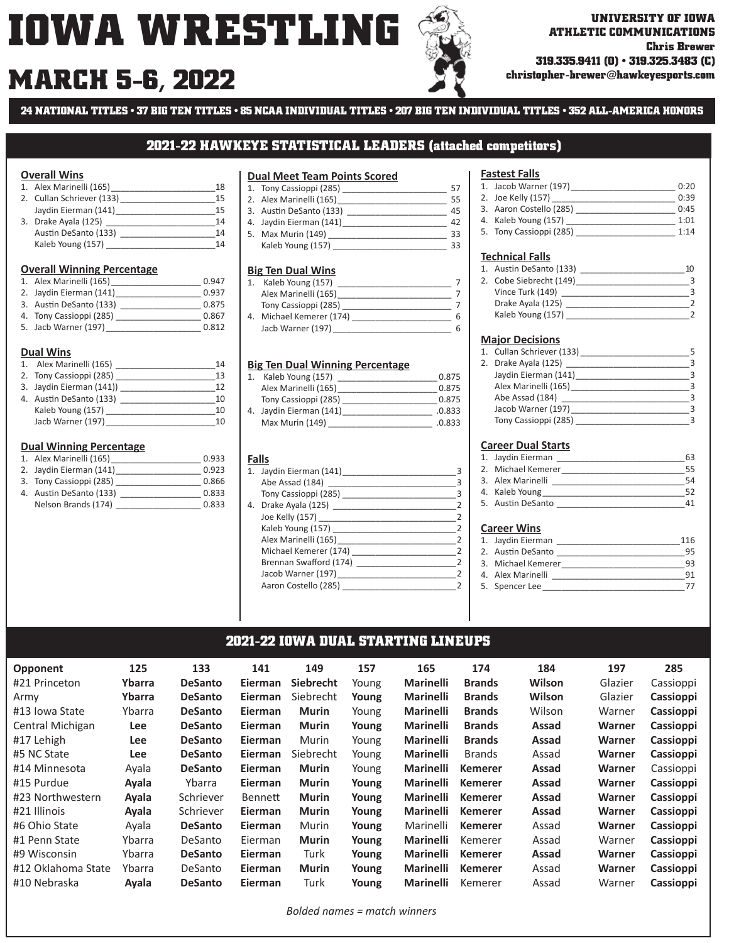# **MARCH christopher-brewer@hawkeyesports.com 5-6, 2022**

**ATHLETIC COMMUNICATIONS Chris Brewer 319.335.9411 (O) • 319.325.3483 (C)**

**24 NATIONAL TITLES • 37 BIG TEN TITLES • 85 NCAA INDIVIDUAL TITLES • 207 BIG TEN INDIVIDUAL TITLES • 352 ALL-AMERICA HONORS**

#### **2021-22 HAWKEYE STATISTICAL LEADERS (attached competitors)**

#### **Overall Wins**

| 1. Alex Marinelli (165)   | 18  |
|---------------------------|-----|
| 2. Cullan Schriever (133) | 15  |
| Jaydin Eierman (141)      | 15  |
| 3. Drake Ayala (125)      | 14  |
| Austin DeSanto (133)      | 14  |
| Kaleb Young (157)         | 1 Д |

#### **Overall Winning Percentage**

| 1. Alex Marinelli (165) | 0.947 |
|-------------------------|-------|
| 2. Jaydin Eierman (141) | 0.937 |
| 3. Austin DeSanto (133) | 0.875 |
| 4. Tony Cassioppi (285) | 0.867 |
| 5. Jacb Warner (197)    | 0.812 |

#### **Dual Wins**

| 1. Alex Marinelli (165)  | 14 |
|--------------------------|----|
| 2. Tony Cassioppi (285)  | 13 |
| 3. Jaydin Eierman (141)) | 12 |
| 4. Austin DeSanto (133)  | 10 |
| Kaleb Young (157)        | 10 |
| Jacb Warner (197)        | 10 |

#### **Dual Winning Percentage**

| 1. Alex Marinelli (165) | 0.933 |
|-------------------------|-------|
| 2. Jaydin Eierman (141) | 0.923 |
| 3. Tony Cassioppi (285) | 0.866 |
| 4. Austin DeSanto (133) | 0.833 |
| Nelson Brands (174)     | 0.833 |

#### **Dual Meet Team Points Scored**

| 1. Tony Cassioppi (285) | 57 |
|-------------------------|----|
| 2. Alex Marinelli (165) | 55 |
| 3. Austin DeSanto (133) | 45 |
| 4. Jaydin Eierman (141) | 42 |
| 5. Max Murin (149)      | 33 |
| Kaleb Young (157)       | 33 |
|                         |    |

#### **Big Ten Dual Wins**

|    | Kaleb Young (157)     |   |
|----|-----------------------|---|
|    | Alex Marinelli (165)  |   |
|    | Tony Cassioppi (285)  |   |
| 4. | Michael Kemerer (174) | հ |
|    | Jacb Warner (197)     | Б |

#### **Big Ten Dual Winning Percentage**

| Kaleb Young (157)       | 0.875  |
|-------------------------|--------|
| Alex Marinelli (165)    | 0.875  |
| Tony Cassioppi (285)    | 0.875  |
| 4. Jaydin Eierman (141) | .0.833 |
| Max Murin (149)         | .0.833 |

#### **Falls**

| 1. Jaydin Eierman (141)                                                                                       | з              |
|---------------------------------------------------------------------------------------------------------------|----------------|
| Abe Assad (184)                                                                                               | $\mathbf{B}$   |
| Tony Cassioppi (285)                                                                                          | $\mathbf{R}$   |
| 4. Drake Ayala (125) 2002 12:00 12:00 12:00 12:00 12:00 12:00 12:00 12:00 12:00 12:00 12:00 12:00 12:00 12:00 | 2              |
| Joe Kelly (157)                                                                                               | $\mathcal{P}$  |
| Kaleb Young (157)                                                                                             | $\overline{z}$ |
| Alex Marinelli (165)                                                                                          | $\mathcal{P}$  |
| Michael Kemerer (174)                                                                                         | 2              |
| Brennan Swafford (174)                                                                                        | $\mathcal{P}$  |
| Jacob Warner (197)                                                                                            | $\mathcal{P}$  |
| Aaron Costello (285)                                                                                          |                |
|                                                                                                               |                |

#### **Fastest Falls**

| 1. Jacob Warner (197)   | 0:20 |
|-------------------------|------|
| 2. Joe Kelly (157)      | 0:39 |
| 3. Aaron Costello (285) | 0:45 |
| 4. Kaleb Young (157)    | 1:01 |
| 5. Tony Cassioppi (285) | 1:14 |

#### **Technical Falls**

| 1. Austin DeSanto (133) |  |
|-------------------------|--|
| 2. Cobe Siebrecht (149) |  |
| Vince Turk (149)        |  |
| Drake Ayala (125)       |  |
| Kaleb Young (157)       |  |
|                         |  |

#### **Major Decisions**

| 1. Cullan Schriever (133) |  |
|---------------------------|--|
| 2. Drake Ayala (125)      |  |
| Jaydin Eierman (141)      |  |
| Alex Marinelli (165)      |  |
| Abe Assad (184)           |  |
| Jacob Warner (197)        |  |
| Tony Cassioppi (285)      |  |

#### **Career Dual Starts**

| 1. Jaydin Eierman  |  |
|--------------------|--|
| 2. Michael Kemerer |  |
| 3. Alex Marinelli  |  |
| 4. Kaleb Young     |  |
| 5. Austin DeSanto  |  |

#### **Career Wins**

| 1. Jaydin Eierman  | 116 |
|--------------------|-----|
| 2. Austin DeSanto  | 95  |
| 3. Michael Kemerer | 93  |
| 4. Alex Marinelli  | 91  |
| 5. Spencer Lee     |     |

#### **2021-22 IOWA DUAL STARTING LINEUPS**

| <b>Opponent</b>    | 125        | 133            | 141            | 149              | 157   | 165              | 174            | 184    | 197     | 285       |
|--------------------|------------|----------------|----------------|------------------|-------|------------------|----------------|--------|---------|-----------|
| #21 Princeton      | Ybarra     | <b>DeSanto</b> | <b>Eierman</b> | <b>Siebrecht</b> | Young | <b>Marinelli</b> | <b>Brands</b>  | Wilson | Glazier | Cassioppi |
| Army               | Ybarra     | <b>DeSanto</b> | <b>Eierman</b> | Siebrecht        | Young | <b>Marinelli</b> | <b>Brands</b>  | Wilson | Glazier | Cassioppi |
| #13 Iowa State     | Ybarra     | <b>DeSanto</b> | <b>Eierman</b> | <b>Murin</b>     | Young | <b>Marinelli</b> | <b>Brands</b>  | Wilson | Warner  | Cassioppi |
| Central Michigan   | Lee        | <b>DeSanto</b> | <b>Eierman</b> | <b>Murin</b>     | Young | <b>Marinelli</b> | <b>Brands</b>  | Assad  | Warner  | Cassioppi |
| #17 Lehigh         | Lee        | <b>DeSanto</b> | <b>Eierman</b> | Murin            | Young | <b>Marinelli</b> | <b>Brands</b>  | Assad  | Warner  | Cassioppi |
| #5 NC State        | <b>Lee</b> | <b>DeSanto</b> | <b>Eierman</b> | Siebrecht        | Young | <b>Marinelli</b> | <b>Brands</b>  | Assad  | Warner  | Cassioppi |
| #14 Minnesota      | Ayala      | <b>DeSanto</b> | <b>Eierman</b> | <b>Murin</b>     | Young | <b>Marinelli</b> | <b>Kemerer</b> | Assad  | Warner  | Cassioppi |
| #15 Purdue         | Ayala      | Ybarra         | <b>Eierman</b> | <b>Murin</b>     | Young | <b>Marinelli</b> | <b>Kemerer</b> | Assad  | Warner  | Cassioppi |
| #23 Northwestern   | Ayala      | Schriever      | Bennett        | <b>Murin</b>     | Young | <b>Marinelli</b> | <b>Kemerer</b> | Assad  | Warner  | Cassioppi |
| #21 Illinois       | Ayala      | Schriever      | <b>Eierman</b> | <b>Murin</b>     | Young | <b>Marinelli</b> | <b>Kemerer</b> | Assad  | Warner  | Cassioppi |
| #6 Ohio State      | Ayala      | <b>DeSanto</b> | <b>Eierman</b> | Murin            | Young | Marinelli        | <b>Kemerer</b> | Assad  | Warner  | Cassioppi |
| #1 Penn State      | Ybarra     | DeSanto        | Eierman        | <b>Murin</b>     | Young | <b>Marinelli</b> | Kemerer        | Assad  | Warner  | Cassioppi |
| #9 Wisconsin       | Ybarra     | <b>DeSanto</b> | <b>Eierman</b> | Turk             | Young | <b>Marinelli</b> | <b>Kemerer</b> | Assad  | Warner  | Cassioppi |
| #12 Oklahoma State | Ybarra     | DeSanto        | <b>Eierman</b> | <b>Murin</b>     | Young | <b>Marinelli</b> | <b>Kemerer</b> | Assad  | Warner  | Cassioppi |
| #10 Nebraska       | Ayala      | <b>DeSanto</b> | Eierman        | Turk             | Young | <b>Marinelli</b> | Kemerer        | Assad  | Warner  | Cassioppi |

*Bolded names = match winners*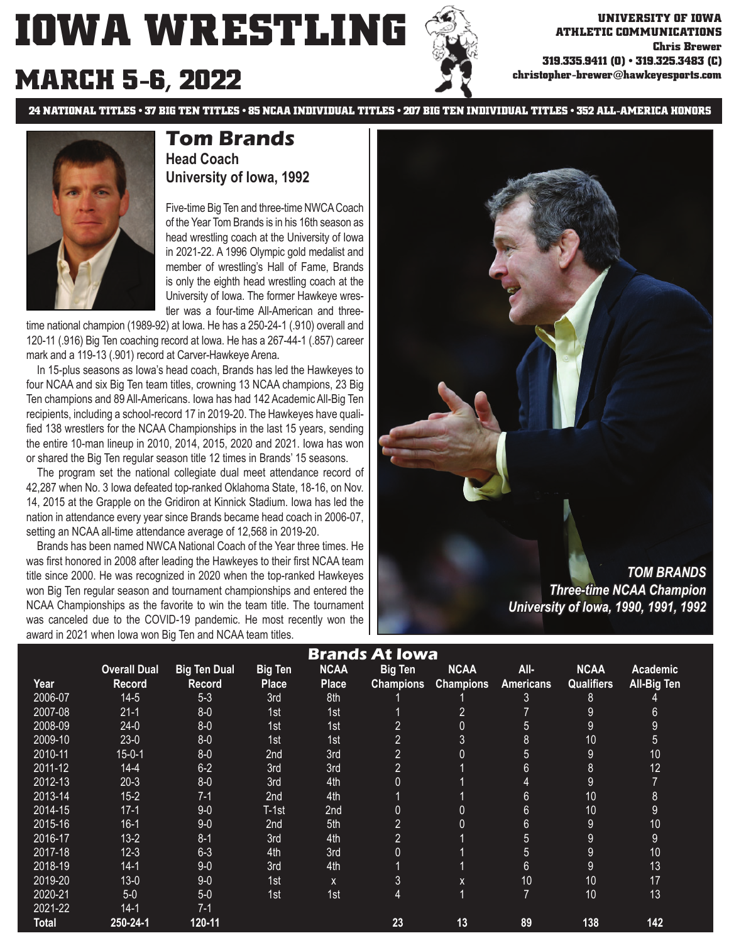**ATHLETIC COMMUNICATIONS Chris Brewer 319.335.9411 (O) • 319.325.3483 (C) christopher-brewer@hawkeyesports.com**

# **MARCH 5-6, 2022**

**24 NATIONAL TITLES • 37 BIG TEN TITLES • 85 NCAA INDIVIDUAL TITLES • 207 BIG TEN INDIVIDUAL TITLES • 352 ALL-AMERICA HONORS**



## **Tom Brands Head Coach University of Iowa, 1992**

Five-time Big Ten and three-time NWCA Coach of the Year Tom Brands is in his 16th season as head wrestling coach at the University of Iowa in 2021-22. A 1996 Olympic gold medalist and member of wrestling's Hall of Fame, Brands is only the eighth head wrestling coach at the University of Iowa. The former Hawkeye wrestler was a four-time All-American and three-

time national champion (1989-92) at Iowa. He has a 250-24-1 (.910) overall and 120-11 (.916) Big Ten coaching record at Iowa. He has a 267-44-1 (.857) career mark and a 119-13 (.901) record at Carver-Hawkeye Arena.

 In 15-plus seasons as Iowa's head coach, Brands has led the Hawkeyes to four NCAA and six Big Ten team titles, crowning 13 NCAA champions, 23 Big Ten champions and 89 All-Americans. Iowa has had 142 Academic All-Big Ten recipients, including a school-record 17 in 2019-20. The Hawkeyes have qualified 138 wrestlers for the NCAA Championships in the last 15 years, sending the entire 10-man lineup in 2010, 2014, 2015, 2020 and 2021. Iowa has won or shared the Big Ten regular season title 12 times in Brands' 15 seasons.

 The program set the national collegiate dual meet attendance record of 42,287 when No. 3 Iowa defeated top-ranked Oklahoma State, 18-16, on Nov. 14, 2015 at the Grapple on the Gridiron at Kinnick Stadium. Iowa has led the nation in attendance every year since Brands became head coach in 2006-07, setting an NCAA all-time attendance average of 12,568 in 2019-20.

 Brands has been named NWCA National Coach of the Year three times. He was first honored in 2008 after leading the Hawkeyes to their first NCAA team title since 2000. He was recognized in 2020 when the top-ranked Hawkeyes won Big Ten regular season and tournament championships and entered the NCAA Championships as the favorite to win the team title. The tournament was canceled due to the COVID-19 pandemic. He most recently won the award in 2021 when Iowa won Big Ten and NCAA team titles.



*University of Iowa, 1990, 1991, 1992 niversity* 

|              |                     | ັ                   |                |              |                       |                  |                |                   |                 |  |
|--------------|---------------------|---------------------|----------------|--------------|-----------------------|------------------|----------------|-------------------|-----------------|--|
|              |                     |                     |                |              | <b>Brands At Iowa</b> |                  |                |                   |                 |  |
|              | <b>Overall Dual</b> | <b>Big Ten Dual</b> | <b>Big Ten</b> | <b>NCAA</b>  | <b>Big Ten</b>        | <b>NCAA</b>      | All-           | <b>NCAA</b>       | <b>Academic</b> |  |
| Year         | <b>Record</b>       | <b>Record</b>       | <b>Place</b>   | <b>Place</b> | <b>Champions</b>      | <b>Champions</b> | Americans      | <b>Qualifiers</b> | All-Big Ten     |  |
| 2006-07      | $14-5$              | $5-3$               | 3rd            | 8th          |                       |                  | 3              | 8                 |                 |  |
| 2007-08      | $21 - 1$            | $8 - 0$             | 1st            | 1st          |                       | $\overline{2}$   |                | $9\,$             | 6               |  |
| 2008-09      | $24-0$              | $8-0$               | 1st            | 1st          | $\overline{2}$        | 0                | 5              | $9\,$             | 9               |  |
| 2009-10      | $23-0$              | $8 - 0$             | 1st            | 1st          | $\overline{2}$        | 3                | 8              | 10                | 5               |  |
| 2010-11      | $15 - 0 - 1$        | $8 - 0$             | 2nd            | 3rd          | $\overline{2}$        | 0                | 5              | 9                 | 10              |  |
| 2011-12      | $14 - 4$            | $6 - 2$             | 3rd            | 3rd          | $\overline{2}$        |                  | $6\phantom{1}$ | $\bf 8$           | 12              |  |
| 2012-13      | $20-3$              | $8 - 0$             | 3rd            | 4th          | 0                     |                  | 4              | 9                 | $\overline{7}$  |  |
| 2013-14      | $15 - 2$            | $7-1$               | 2nd            | 4th          |                       |                  | $6\phantom{1}$ | 10                | $\overline{8}$  |  |
| 2014-15      | $17-1$              | $9-0$               | T-1st          | 2nd          | 0                     | 0                | $6\phantom{1}$ | 10                | 9               |  |
| 2015-16      | $16-1$              | $9-0$               | 2nd            | 5th          | $\overline{2}$        | $\overline{0}$   | $6\phantom{1}$ | $9\,$             | 10              |  |
| 2016-17      | $13-2$              | $8 - 1$             | 3rd            | 4th          | $\overline{2}$        |                  | 5              | $9\,$             | 9               |  |
| 2017-18      | $12 - 3$            | $6 - 3$             | 4th            | 3rd          | 0                     |                  | 5              | $9\,$             | 10              |  |
| 2018-19      | $14-1$              | $9-0$               | 3rd            | 4th          |                       |                  | $6\phantom{1}$ | 9                 | 13              |  |
| 2019-20      | $13 - 0$            | $9-0$               | 1st            | X            | 3                     | X                | 10             | 10                | 17              |  |
| 2020-21      | $5-0$               | $5-0$               | 1st            | 1st          | 4                     | $\mathbf{1}$     | $\overline{7}$ | 10                | 13              |  |
| 2021-22      | $14-1$              | $7-1$               |                |              |                       |                  |                |                   |                 |  |
| <b>Total</b> | 250-24-1            | 120-11              |                |              | 23                    | 13               | 89             | 138               | 142             |  |